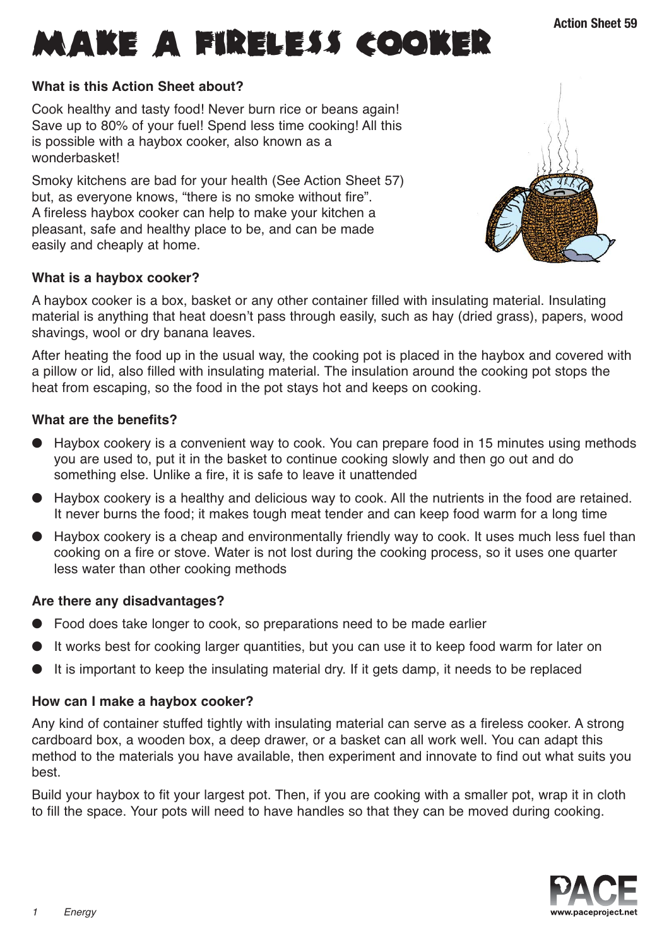

## **What is this Action Sheet about?**

Cook healthy and tasty food! Never burn rice or beans again! Save up to 80% of your fuel! Spend less time cooking! All this is possible with a haybox cooker, also known as a wonderbasket!

Smoky kitchens are bad for your health (See Action Sheet 57) but, as everyone knows, "there is no smoke without fire". A fireless haybox cooker can help to make your kitchen a pleasant, safe and healthy place to be, and can be made easily and cheaply at home.

# **What is a haybox cooker?**

A haybox cooker is a box, basket or any other container filled with insulating material. Insulating material is anything that heat doesn't pass through easily, such as hay (dried grass), papers, wood shavings, wool or dry banana leaves.

After heating the food up in the usual way, the cooking pot is placed in the haybox and covered with a pillow or lid, also filled with insulating material. The insulation around the cooking pot stops the heat from escaping, so the food in the pot stays hot and keeps on cooking.

# **What are the benefits?**

- Haybox cookery is a convenient way to cook. You can prepare food in 15 minutes using methods you are used to, put it in the basket to continue cooking slowly and then go out and do something else. Unlike a fire, it is safe to leave it unattended
- Haybox cookery is a healthy and delicious way to cook. All the nutrients in the food are retained. It never burns the food; it makes tough meat tender and can keep food warm for a long time
- Haybox cookery is a cheap and environmentally friendly way to cook. It uses much less fuel than cooking on a fire or stove. Water is not lost during the cooking process, so it uses one quarter less water than other cooking methods

## **Are there any disadvantages?**

- Food does take longer to cook, so preparations need to be made earlier
- It works best for cooking larger quantities, but you can use it to keep food warm for later on
- It is important to keep the insulating material dry. If it gets damp, it needs to be replaced

## **How can I make a haybox cooker?**

Any kind of container stuffed tightly with insulating material can serve as a fireless cooker. A strong cardboard box, a wooden box, a deep drawer, or a basket can all work well. You can adapt this method to the materials you have available, then experiment and innovate to find out what suits you best.

Build your haybox to fit your largest pot. Then, if you are cooking with a smaller pot, wrap it in cloth to fill the space. Your pots will need to have handles so that they can be moved during cooking.



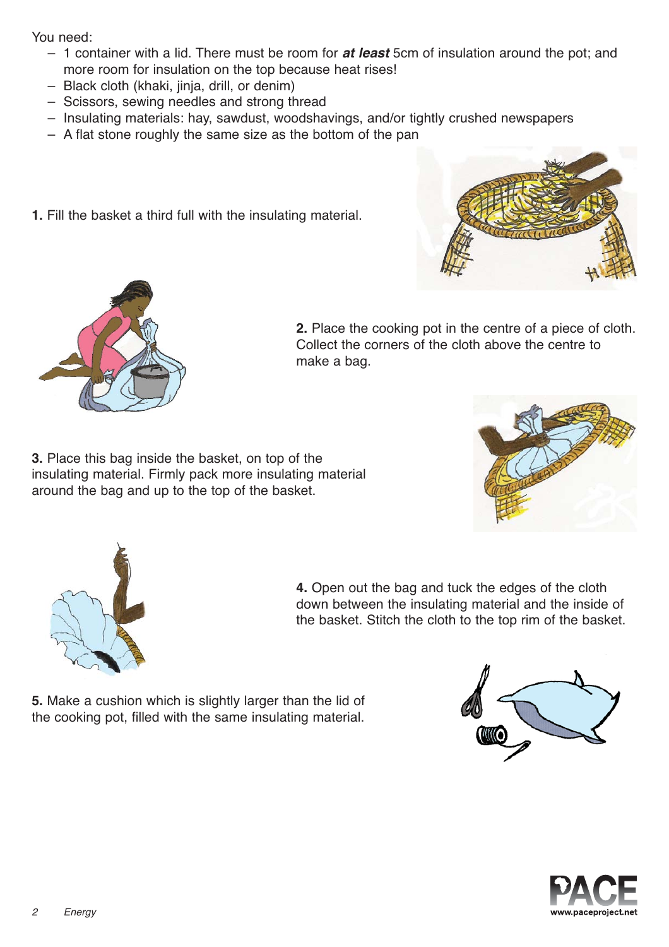You need:

- 1 container with a lid. There must be room for *at least* 5cm of insulation around the pot; and more room for insulation on the top because heat rises!
- Black cloth (khaki, jinja, drill, or denim)
- Scissors, sewing needles and strong thread
- Insulating materials: hay, sawdust, woodshavings, and/or tightly crushed newspapers
- A flat stone roughly the same size as the bottom of the pan
- **1.** Fill the basket a third full with the insulating material.





**2.** Place the cooking pot in the centre of a piece of cloth. Collect the corners of the cloth above the centre to make a bag.

**3.** Place this bag inside the basket, on top of the insulating material. Firmly pack more insulating material around the bag and up to the top of the basket.





**4.** Open out the bag and tuck the edges of the cloth down between the insulating material and the inside of the basket. Stitch the cloth to the top rim of the basket.

**5.** Make a cushion which is slightly larger than the lid of the cooking pot, filled with the same insulating material.